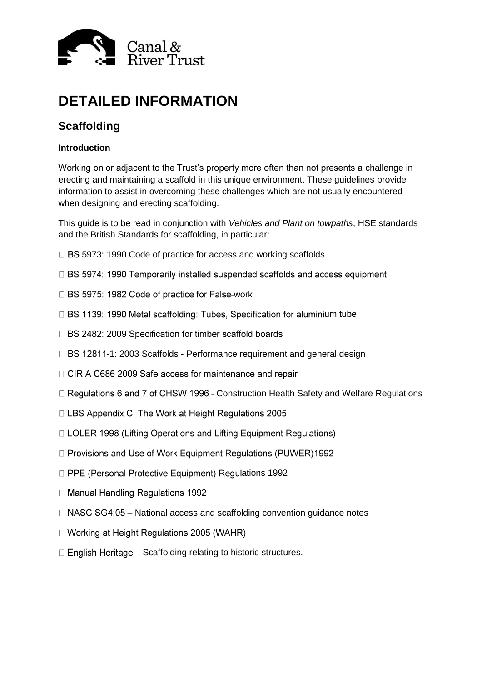

# **DETAILED INFORMATION**

# **Scaffolding**

# **Introduction**

Working on or adjacent to the Trust's property more often than not presents a challenge in erecting and maintaining a scaffold in this unique environment. These guidelines provide information to assist in overcoming these challenges which are not usually encountered when designing and erecting scaffolding.

This guide is to be read in conjunction with *Vehicles and Plant on towpaths*, HSE standards and the British Standards for scaffolding, in particular:

- □ BS 5973: 1990 Code of practice for access and working scaffolds
- □ BS 5974: 1990 Temporarily installed suspended scaffolds and access equipment
- □ BS 5975: 1982 Code of practice for False-work
- □ BS 1139: 1990 Metal scaffolding: Tubes, Specification for aluminium tube
- □ BS 2482: 2009 Specification for timber scaffold boards
- $\Box$  BS 12811-1: 2003 Scaffolds Performance requirement and general design
- □ CIRIA C686 2009 Safe access for maintenance and repair
- $\Box$  Regulations 6 and 7 of CHSW 1996 Construction Health Safety and Welfare Regulations
- $\Box$  LBS Appendix C, The Work at Height Regulations 2005
- □ LOLER 1998 (Lifting Operations and Lifting Equipment Regulations)
- □ Provisions and Use of Work Equipment Regulations (PUWER)1992
- □ PPE (Personal Protective Equipment) Regulations 1992
- □ Manual Handling Regulations 1992
- $\Box$  NASC SG4:05 National access and scaffolding convention guidance notes
- □ Working at Height Regulations 2005 (WAHR)
- $\Box$  English Heritage Scaffolding relating to historic structures.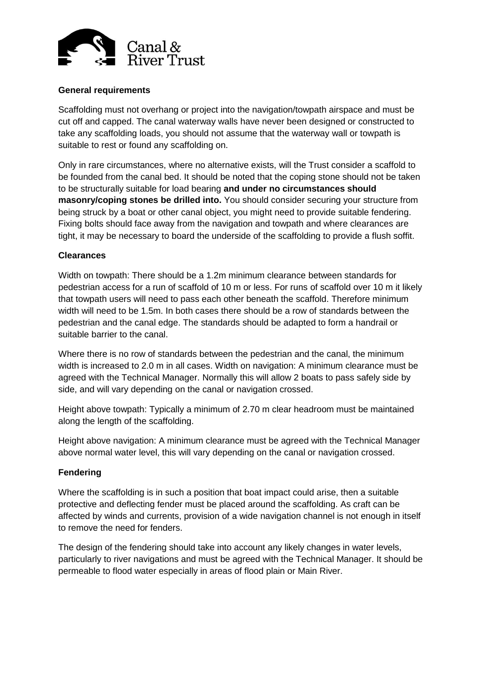

# **General requirements**

Scaffolding must not overhang or project into the navigation/towpath airspace and must be cut off and capped. The canal waterway walls have never been designed or constructed to take any scaffolding loads, you should not assume that the waterway wall or towpath is suitable to rest or found any scaffolding on.

Only in rare circumstances, where no alternative exists, will the Trust consider a scaffold to be founded from the canal bed. It should be noted that the coping stone should not be taken to be structurally suitable for load bearing **and under no circumstances should masonry/coping stones be drilled into.** You should consider securing your structure from being struck by a boat or other canal object, you might need to provide suitable fendering. Fixing bolts should face away from the navigation and towpath and where clearances are tight, it may be necessary to board the underside of the scaffolding to provide a flush soffit.

#### **Clearances**

Width on towpath: There should be a 1.2m minimum clearance between standards for pedestrian access for a run of scaffold of 10 m or less. For runs of scaffold over 10 m it likely that towpath users will need to pass each other beneath the scaffold. Therefore minimum width will need to be 1.5m. In both cases there should be a row of standards between the pedestrian and the canal edge. The standards should be adapted to form a handrail or suitable barrier to the canal.

Where there is no row of standards between the pedestrian and the canal, the minimum width is increased to 2.0 m in all cases. Width on navigation: A minimum clearance must be agreed with the Technical Manager. Normally this will allow 2 boats to pass safely side by side, and will vary depending on the canal or navigation crossed.

Height above towpath: Typically a minimum of 2.70 m clear headroom must be maintained along the length of the scaffolding.

Height above navigation: A minimum clearance must be agreed with the Technical Manager above normal water level, this will vary depending on the canal or navigation crossed.

#### **Fendering**

Where the scaffolding is in such a position that boat impact could arise, then a suitable protective and deflecting fender must be placed around the scaffolding. As craft can be affected by winds and currents, provision of a wide navigation channel is not enough in itself to remove the need for fenders.

The design of the fendering should take into account any likely changes in water levels, particularly to river navigations and must be agreed with the Technical Manager. It should be permeable to flood water especially in areas of flood plain or Main River.